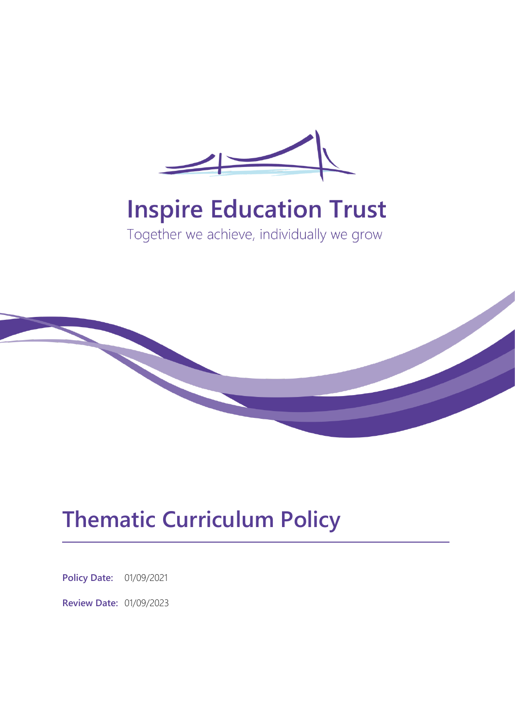

# **Inspire Education Trust**

Together we achieve, individually we grow



# **Thematic Curriculum Policy**

**Policy Date:** 01/09/2021

**Review Date:** 01/09/2023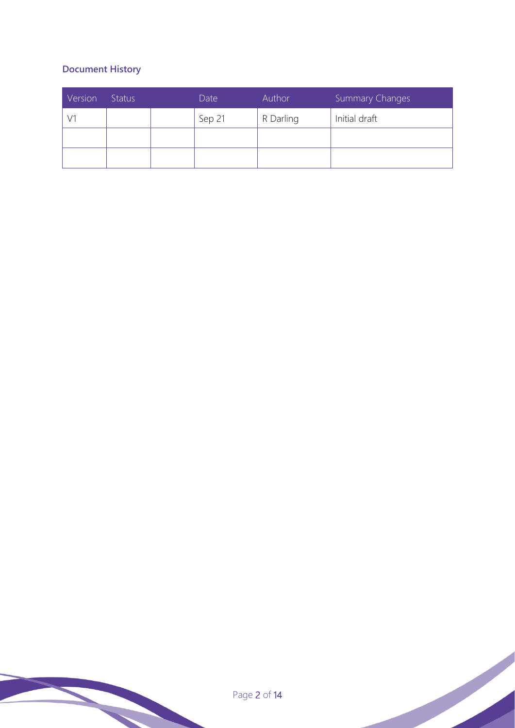### **Document History**

| Version | <b>Status</b> | Date   | Author    | <b>Summary Changes</b> |  |  |
|---------|---------------|--------|-----------|------------------------|--|--|
|         |               | Sep 21 | R Darling | Initial draft          |  |  |
|         |               |        |           |                        |  |  |
|         |               |        |           |                        |  |  |

Page 2 of 14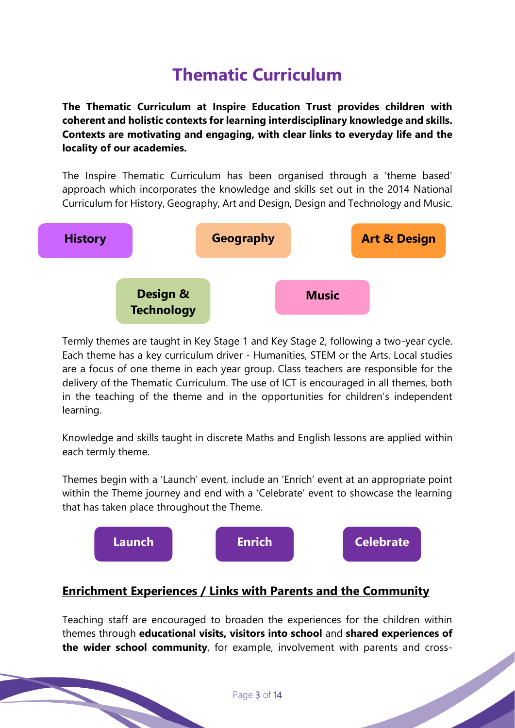## **Thematic Curriculum**

**The Thematic Curriculum at Inspire Education Trust provides children with coherent and holistic contexts for learning interdisciplinary knowledge and skills. Contexts are motivating and engaging, with clear links to everyday life and the locality of our academies.**

The Inspire Thematic Curriculum has been organised through a 'theme based' approach which incorporates the knowledge and skills set out in the 2014 National Curriculum for History, Geography, Art and Design, Design and Technology and Music.



Termly themes are taught in Key Stage 1 and Key Stage 2, following a two-year cycle. Each theme has a key curriculum driver - Humanities, STEM or the Arts. Local studies are a focus of one theme in each year group. Class teachers are responsible for the delivery of the Thematic Curriculum. The use of ICT is encouraged in all themes, both in the teaching of the theme and in the opportunities for children's independent learning.

Knowledge and skills taught in discrete Maths and English lessons are applied within each termly theme.

Themes begin with a 'Launch' event, include an 'Enrich' event at an appropriate point within the Theme journey and end with a 'Celebrate' event to showcase the learning that has taken place throughout the Theme.



### **Enrichment Experiences / Links with Parents and the Community**

Teaching staff are encouraged to broaden the experiences for the children within themes through **educational visits, visitors into school** and **shared experiences of the wider school community**, for example, involvement with parents and cross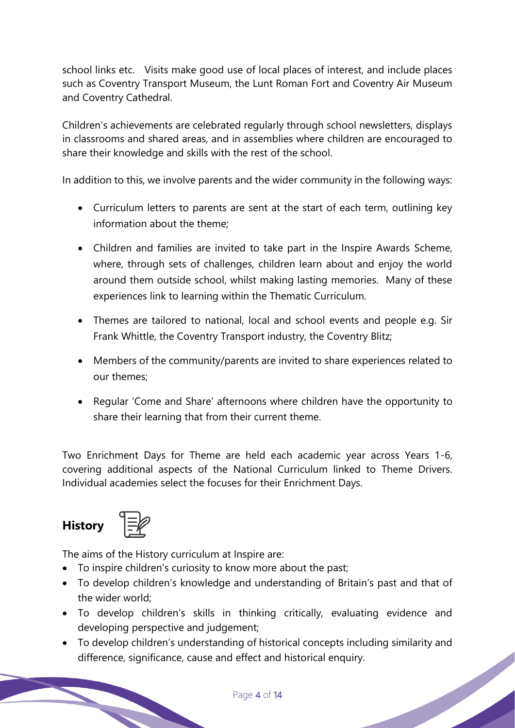school links etc. Visits make good use of local places of interest, and include places such as Coventry Transport Museum, the Lunt Roman Fort and Coventry Air Museum and Coventry Cathedral.

Children's achievements are celebrated regularly through school newsletters, displays in classrooms and shared areas, and in assemblies where children are encouraged to share their knowledge and skills with the rest of the school.

In addition to this, we involve parents and the wider community in the following ways:

- Curriculum letters to parents are sent at the start of each term, outlining key information about the theme;
- Children and families are invited to take part in the Inspire Awards Scheme, where, through sets of challenges, children learn about and enjoy the world around them outside school, whilst making lasting memories. Many of these experiences link to learning within the Thematic Curriculum.
- Themes are tailored to national, local and school events and people e.g. Sir Frank Whittle, the Coventry Transport industry, the Coventry Blitz;
- Members of the community/parents are invited to share experiences related to our themes;
- Regular 'Come and Share' afternoons where children have the opportunity to share their learning that from their current theme.

Two Enrichment Days for Theme are held each academic year across Years 1-6, covering additional aspects of the National Curriculum linked to Theme Drivers. Individual academies select the focuses for their Enrichment Days.

### **History**



The aims of the History curriculum at Inspire are:

- To inspire children's curiosity to know more about the past;
- To develop children's knowledge and understanding of Britain's past and that of the wider world;
- To develop children's skills in thinking critically, evaluating evidence and developing perspective and judgement;
- To develop children's understanding of historical concepts including similarity and difference, significance, cause and effect and historical enquiry.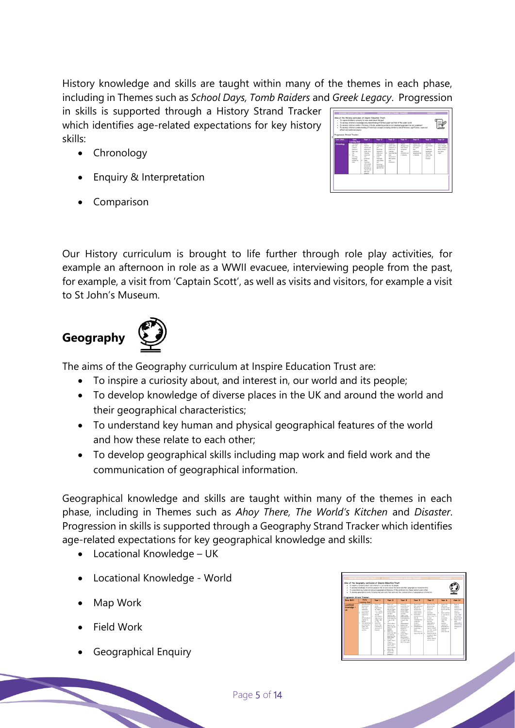History knowledge and skills are taught within many of the themes in each phase, including in Themes such as *School Days, Tomb Raiders* and *Greek Legacy*. Progression

in skills is supported through a History Strand Tracker which identifies age-related expectations for key history skills:

- Chronology
- Enquiry & Interpretation
- Comparison

| ٠<br>٠<br>٠<br><b>Progression Strand Tracker:</b> | To inspire children's curiosity to know more about the post<br>To develop children's knowledge and understonding of Britain's past and that of the wider world<br>To develop children's skills in thinking critically, exclusive evidence and developing perspective and judgement<br>To develop children's understanding of historical concepts including similarity and difference, cipsificance, cause and<br>effect and historical ensuiry |                                                                                                                                                                                                                                              |                                                                                                                                                                                                                                |                                                                                                                                                                                               |                                                                                                     |                                                                                                               |                                                                                                                                                             |                                                                                    |
|---------------------------------------------------|------------------------------------------------------------------------------------------------------------------------------------------------------------------------------------------------------------------------------------------------------------------------------------------------------------------------------------------------------------------------------------------------------------------------------------------------|----------------------------------------------------------------------------------------------------------------------------------------------------------------------------------------------------------------------------------------------|--------------------------------------------------------------------------------------------------------------------------------------------------------------------------------------------------------------------------------|-----------------------------------------------------------------------------------------------------------------------------------------------------------------------------------------------|-----------------------------------------------------------------------------------------------------|---------------------------------------------------------------------------------------------------------------|-------------------------------------------------------------------------------------------------------------------------------------------------------------|------------------------------------------------------------------------------------|
| <b>Care Sikel</b>                                 | <b>Early</b><br>Learning God                                                                                                                                                                                                                                                                                                                                                                                                                   | Year 1                                                                                                                                                                                                                                       | Year 2                                                                                                                                                                                                                         | Year 3                                                                                                                                                                                        | Year 4                                                                                              | Year 5                                                                                                        | Year 6                                                                                                                                                      | Year 6+                                                                            |
| <b>Chronology</b>                                 | . Talkshout<br><b>MART ARM</b><br><b>Amount F</b><br>swent in<br><b>Dair can</b><br>16a<br><b>Since</b><br>٠<br>exervator<br><i>improor</i><br>recorded by<br>Time.                                                                                                                                                                                                                                                                            | Te Flore<br>familiar<br><b>GASTIN AND</b><br>objects in<br>ander on a<br>tandone<br><b>Company</b><br>cad.<br>eleteristi<br>Lokel<br>u.<br>tinglow<br>acts praia<br>words and<br>ahreast e.e.<br>and and care.<br>post and<br><b>ATKINST</b> | . Foregasts .<br>enterfacety<br>and .<br>kimmod<br><b>Favora in</b><br>ander an a<br><b>Traveline</b><br>$1 - 1 + 2 = 0$<br><b><i>Simulano</i></b><br>anima disturn<br>mark.<br><b>Birdenbad</b><br>turns above<br>assessings. | Executive<br>ments and<br>artisfacts in<br>ender en a<br><b>Healths</b><br>$\mathbf{r}$<br><b><i><u>Reasonal Way</u></i></b><br>man.<br>fect year of<br>the exerts<br>$\sim$<br>actual conta- | . facion<br>changes over<br><b>Time Integral</b><br>to events<br>$-1$<br>ACTIVITIES AV<br>a Vendos. | . Fashin the<br>eignificance<br>of guesta<br>$-$<br>or to Ferrits<br><b><i>SERGENER AV</i></b><br>a finalise. | Ozarriba<br>$\overline{\phantom{a}}$<br>has earnist<br><b><i>und</i></b><br>ortellerte<br>senamed<br><b>Lake Artist</b><br>other time.<br>periods<br>stated | . facion how<br>ams charges<br>Take centuries<br>which schem<br>are nore.<br>said. |

Our History curriculum is brought to life further through role play activities, for example an afternoon in role as a WWII evacuee, interviewing people from the past, for example, a visit from 'Captain Scott', as well as visits and visitors, for example a visit to St John's Museum.

### **Geography**



The aims of the Geography curriculum at Inspire Education Trust are:

- To inspire a curiosity about, and interest in, our world and its people;
- To develop knowledge of diverse places in the UK and around the world and their geographical characteristics;
- To understand key human and physical geographical features of the world and how these relate to each other;
- To develop geographical skills including map work and field work and the communication of geographical information.

Geographical knowledge and skills are taught within many of the themes in each phase, including in Themes such as *Ahoy There, The World's Kitchen* and *Disaster*. Progression in skills is supported through a Geography Strand Tracker which identifies age-related expectations for key geographical knowledge and skills:

- Locational Knowledge UK
- Locational Knowledge World
- Map Work
- **Field Work**
- Geographical Enquiry

| ٠<br>×<br>٠<br>٠<br>Progression Strand Tracker: | Ains of the Generashy curriculum at Insairs Education Trust:<br>To inspire a curiosity about, and interest in, our world and its people.                                                                                                                                                  |                                                                                                                                                                                                                                                                                  |                                                                                                                                                                                                                                                                                                                                                                                                                                                                                                                                                                                                                                         | To develop knowledge of diverse places in the UK and oround the world and their geographical characteristics.<br>To understand key human and physical genormhical features of the world and how these neight to each other<br>To develop peographical pidle including map work and field work and the communication of geographical information                                                                                                                            |                                                                                                                                                                                                                                                                                                                                                                        |                                                                                                                                                                                                                                                                                                                                                                                                                  |                                                                                                                                                                                                                                                                          |                                                                                                                                                                                                                                                                               |
|-------------------------------------------------|-------------------------------------------------------------------------------------------------------------------------------------------------------------------------------------------------------------------------------------------------------------------------------------------|----------------------------------------------------------------------------------------------------------------------------------------------------------------------------------------------------------------------------------------------------------------------------------|-----------------------------------------------------------------------------------------------------------------------------------------------------------------------------------------------------------------------------------------------------------------------------------------------------------------------------------------------------------------------------------------------------------------------------------------------------------------------------------------------------------------------------------------------------------------------------------------------------------------------------------------|----------------------------------------------------------------------------------------------------------------------------------------------------------------------------------------------------------------------------------------------------------------------------------------------------------------------------------------------------------------------------------------------------------------------------------------------------------------------------|------------------------------------------------------------------------------------------------------------------------------------------------------------------------------------------------------------------------------------------------------------------------------------------------------------------------------------------------------------------------|------------------------------------------------------------------------------------------------------------------------------------------------------------------------------------------------------------------------------------------------------------------------------------------------------------------------------------------------------------------------------------------------------------------|--------------------------------------------------------------------------------------------------------------------------------------------------------------------------------------------------------------------------------------------------------------------------|-------------------------------------------------------------------------------------------------------------------------------------------------------------------------------------------------------------------------------------------------------------------------------|
| Core Skill:                                     | <b>Early</b><br><b>Leoning Goal</b>                                                                                                                                                                                                                                                       | Year 1                                                                                                                                                                                                                                                                           | Vase 2                                                                                                                                                                                                                                                                                                                                                                                                                                                                                                                                                                                                                                  | <b>Vear 5</b>                                                                                                                                                                                                                                                                                                                                                                                                                                                              | Vere 4                                                                                                                                                                                                                                                                                                                                                                 | <b>Vase 5</b>                                                                                                                                                                                                                                                                                                                                                                                                    | Year 6                                                                                                                                                                                                                                                                   | <b>Year 6+</b>                                                                                                                                                                                                                                                                |
| Lacational<br><b>Kennisdes</b> -<br><b>UK</b>   | Talksbox1 Fig. 1 +<br><b>Faschuras of</b><br><b>Their cast</b><br>immusliche.<br>experience and<br><b>Englished</b><br>٠<br>distant<br>$\sim$<br>differences in<br>mistion to<br>sione<br>٠<br>Toler show I have I am<br><b>ATLICATIONS</b><br><b>MART HAVE</b><br>From and by<br>mother. | <b>Noda co</b> d<br><b>HELFS</b><br>England and<br><b>Ballymouth</b><br><b>City - London</b><br>- an a most of<br><b>The LW</b><br>for whether<br>×.<br>they lost in a<br>village, Sauth<br>ar situ<br><b>Water Mark</b><br>share they<br>For Howman's<br>Sewhel & It<br>England | Motor could<br><b><i>benefits</i></b> that Facer<br>continue of<br>the UK Paker.<br>Scottised Maker<br><b>Sactions Subject</b><br>and there<br><b>CASTLE AT RAX</b><br><b>Lodo Steven</b><br><b>Grant Antium on</b><br>a month that<br>$\sim$<br>×.<br>Lenzie where<br>Here Ivy on a<br>more of the U.S.<br><b>Deaths</b><br><b>Search</b><br>٠<br><b>None and</b><br>leady the UCs<br>presenter<br><b>Britt Floch Inc.</b><br><b><i><u>Sales Daniel</u></i></b><br><b>COLLECT</b><br>* Equipment of<br>officer in<br>smaller than a<br>fourt, and a<br>town is smaller<br>that a city<br>Exploit the<br>difference<br><b>Authority</b> | <b>Shake cod</b><br>×<br>locate the final<br>countries of<br>the UK (Traine)<br>Southeast Widow<br><b>Sadien Salesti</b><br><b>HARTBAR</b><br><b>Halfold Citizen</b><br>Sulates Editionals<br><b>Great Adjustion</b><br>a most of the<br>$\alpha$<br>Indexanderile<br>Expires that<br>$\alpha$<br>the country of<br>England in<br>divided why<br>marker<br>ь.<br>Locate Mart<br>Midlands /<br><b>Noncington</b><br>and Dardwelling<br>on a most of the<br>UK / In an other | Expire that<br>the country of<br>England is<br>distribution by<br>continue and<br><b>NAME SEARCH</b><br>$\mathbf{r}$<br>Lendre land<br><b>Lowrantinian in</b><br><b>Hartist</b><br><b><i><u>Including local</u></i></b><br>citizen and<br>crack.<br><b>Barbadora</b><br>Endniscoduct's<br>×.<br>lents their<br><b>Lower</b><br><b>Equitable on a</b><br>mon of the UV. | 4 Forest Sun No.<br>UK and firms?<br><b>Britain and</b><br>different<br>$\mathbf{r}$<br>Lengte<br>salutit local<br>countries in the<br>UK 45.4 mos / m<br>on strives<br>×.<br>Lecurie and<br>describe<br>havenahicd<br><b>Festiving of</b><br>countries and<br>resista challed<br>In a Mid ceater<br>and reserves<br>Taxar ha alanan<br>٠.<br>in barms of their<br>town/o'ky<br>county, cearing<br>and continued | Explore the<br>×<br>difference<br><b>Lohean Area</b><br>Relate and the<br>$\sim$<br>٠<br>Eva issuitas<br>all and how for<br><b>League</b><br>econotele.<br>countries.<br>cities.<br>rearies.<br>regions and<br>executives /<br>hangraphical<br>Sections<br>within the UK | Bogs to<br>×<br><b><i>LEASEN</i></b><br>distance /<br>rainfor size 7<br>service and<br>countries.<br><b>Littled</b> , Teacher<br>and contami<br>of this Hartilli<br>Expire how<br>$\mathbf{r}$<br><b>MAK</b><br><b>Topographical</b><br>Fastures how<br>changed over<br>time. |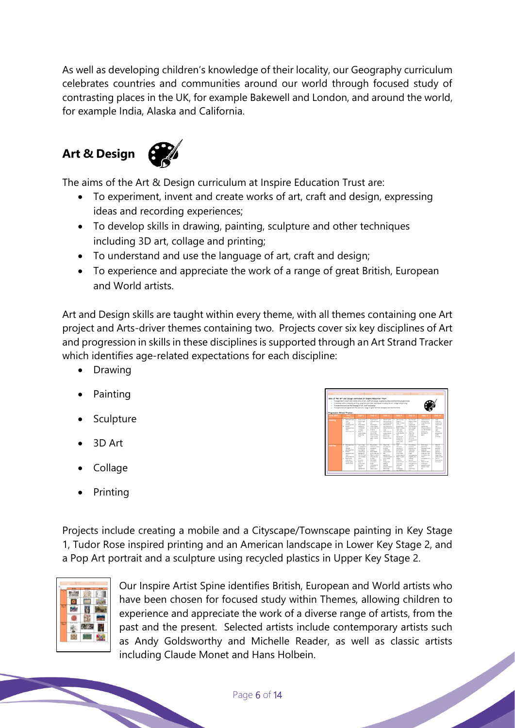As well as developing children's knowledge of their locality, our Geography curriculum celebrates countries and communities around our world through focused study of contrasting places in the UK, for example Bakewell and London, and around the world, for example India, Alaska and California.

## **Art & Design**



The aims of the Art & Design curriculum at Inspire Education Trust are:

- To experiment, invent and create works of art, craft and design, expressing ideas and recording experiences;
- To develop skills in drawing, painting, sculpture and other techniques including 3D art, collage and printing;
- To understand and use the language of art, craft and design;
- To experience and appreciate the work of a range of great British, European and World artists.

Art and Design skills are taught within every theme, with all themes containing one Art project and Arts-driver themes containing two. Projects cover six key disciplines of Art and progression in skills in these disciplines is supported through an Art Strand Tracker which identifies age-related expectations for each discipline:

- Drawing
- Painting
- Sculpture
- 3D Art
- Collage
- Printing

| Aims of the Art and Design curriculum at Inspire Education Trust:<br>٠<br>٠<br>٠<br>Progression Strand Tracker: |    | To understand and use the longuage of ort, craft and design                                                                                                                             |        |                                                                                                                                                                                                                                                   |    |                                                                                                                                                                                                                                                                         |         | To experiment, insert and create works of ort, craft and design, expressing ideas and recording experiences<br>To develop picits in drowing, painting, sculpture and other fechniques including 30 art, collage and printing<br>To experience and oppreciate the work of a range of great British. Gunpean and World orticle. |        |                                                                                                                                                                                                                                                                         |                      |                                                                                                                                                                                                                                                     |             |                                                                                                                                                                                                                                                                            |        |                                                                                                                                                                 |
|-----------------------------------------------------------------------------------------------------------------|----|-----------------------------------------------------------------------------------------------------------------------------------------------------------------------------------------|--------|---------------------------------------------------------------------------------------------------------------------------------------------------------------------------------------------------------------------------------------------------|----|-------------------------------------------------------------------------------------------------------------------------------------------------------------------------------------------------------------------------------------------------------------------------|---------|-------------------------------------------------------------------------------------------------------------------------------------------------------------------------------------------------------------------------------------------------------------------------------------------------------------------------------|--------|-------------------------------------------------------------------------------------------------------------------------------------------------------------------------------------------------------------------------------------------------------------------------|----------------------|-----------------------------------------------------------------------------------------------------------------------------------------------------------------------------------------------------------------------------------------------------|-------------|----------------------------------------------------------------------------------------------------------------------------------------------------------------------------------------------------------------------------------------------------------------------------|--------|-----------------------------------------------------------------------------------------------------------------------------------------------------------------|
| <b>Core diale</b>                                                                                               |    | <b>Earth</b>                                                                                                                                                                            |        | Year 1                                                                                                                                                                                                                                            |    | Year <sub>2</sub>                                                                                                                                                                                                                                                       |         | Year 3                                                                                                                                                                                                                                                                                                                        |        | <b>Veer 4</b>                                                                                                                                                                                                                                                           |                      | Year \$                                                                                                                                                                                                                                             |             | Year 6                                                                                                                                                                                                                                                                     |        | Year 61                                                                                                                                                         |
| <b>Seawing</b>                                                                                                  |    | <b>Learning Elect</b><br><b>Represent car 1 4</b><br>stars.<br><b>Scout</b><br>$ d$ mong) E40: $\vert$ +<br><b>Hotel</b><br>equipment and<br><b>Sold</b><br>distinction of              |        | <b>Shake Labour</b><br><b>AND AT NORTH</b><br><b>Stage</b><br>Person minority<br>shown out<br>civiles and<br><b><i><u>ESPARA</u></i></b><br>Best No.<br>sales shows.<br>within the<br><b>Stage</b>                                                |    | <b>Street Edge of</b><br><b>Affanett since</b><br>$-1$<br>Nicknown<br><b>Falled Avenue</b><br>within the lower<br>* Drive for<br>nellest the<br>since all that<br>moternal being<br>drawn an loss.<br>arger, cated<br>m1                                                | ٠<br>×. | <b>Startup Transfer</b><br>when adopting 7<br>neverthe ideas<br>Show actives<br>and heature by<br>adding data and 1<br><b>Stage</b><br>Show hope by<br>seine reinend.<br>pencils a p.<br>serviced.<br><b>Product of Silver</b>                                                                                                | $\sim$ | USE The and<br>shows by<br><b>Senior Technical</b><br><b>HOTAL</b><br>areas time<br>Begin to show<br>Lake, Arch.<br>and shorters<br>veine shorting<br><b>STAR</b><br>searce/unit<br>colours for<br>Politics<br>united makers<br>shak                                    | $\overline{a}$<br>×. | time the and<br>show to show<br><b>ARTISTS</b><br><b>All Color Service</b><br>. Use the fing to<br>more model<br>tool more.<br>nesterio<br>Show Line<br>here and<br><b><i><u>bortune</u></i></b> using<br>different<br>hardways of<br>sent in       | T<br>٠      | AM horizon to<br>shed no sales<br>crass Artifica<br>Salary<br>seamer/old<br>drivering motorinal<br>For the strended<br>effect as<br>hardway of<br>panel 1                                                                                                                  | τ<br>٠ | $\overline{1}$<br>different<br>affarts as<br>nelle risere<br>$\sim$<br><b>Great Kennet</b><br><b>LAY</b><br>Gradder<br>annipos Fini<br>$-102$<br>drawings.      |
| <b>Tainfing</b>                                                                                                 | ٠. | <b>Bugrasset car 1 4</b><br>the<br><b>Brough</b><br>lasintag   Eath<br><b>Handle</b><br>equipment and<br>-<br>affactions Rd<br>* Expriser<br>with raiser.<br>mean beat.<br>tectors Eats | ٠<br>٠ | <b>USE &amp; Hillard</b><br>of assistant<br>for autotax<br>e.g. Finance<br>cetter buds.<br>servan etc.<br>time there and I a<br><b>Friedly talked</b><br>share.<br>downtool<br>Regis to<br>acer within<br><b>Fla. Inser</b><br>show<br>seenantshi | ×. | <b>Barriers</b><br>independ for modern<br>worker<br>miners.<br><b>Build's photograp</b><br>within the lines. I a<br>Begin to acked<br><b>Birds and Blue</b><br>Institute<br>a the single<br>directional<br><b>Scratt</b><br>holderiguez to<br>armhune a<br>strate exter | ×.      | Total Little<br><b>Environment of</b><br><b>Scraph For</b><br>nellant that<br>lawing Artist<br><br>exercisive<br>existent to make 1 in<br>noing wheel<br><b>Build</b><br>barismund<br>sort by<br>banding<br>matteria release<br><b>Ford Area</b><br>point image                                                               |        | m<br>different<br><b>MARINE</b><br>advised below to<br>by conclu-<br><b>Easter Stewart</b><br>within advert-<br><b>Best Scaler</b><br>thoses.<br><b>Seatter</b><br>and he was and<br><b><i>Inst</i></b> uther<br>different<br><b>South</b><br>techniques<br>n a staring | ×.                   | Total Arrest<br>heritorni<br>automa and<br><b>Low when</b><br>different<br><b>South 1</b><br><b>Scholars</b> La<br>staging dry.<br>senting.<br>sensitive.<br>Cranks mead / B<br>alternative's live<br>solarities<br>minut.<br>affactively<br>$\sim$ | ۰<br>$\sim$ | Total color<br>pulpting line<br>changing release<br>sharroof<br><b>Contribute molecular</b><br><b>Long and Cola</b><br>to exhaust the<br>mont is<br>streamburs of a<br><b>MARCH</b><br><b>Relative British</b><br>techniques<br>teached to sold<br>testure form<br>setter. | T<br>٠ | Baga La<br>desains a<br>service)<br><b>Walk of</b><br>acking.<br><b>Building</b> an<br>steel from<br>other entires<br><b>Sheriff</b><br>board achie<br>an extra |

Projects include creating a mobile and a Cityscape/Townscape painting in Key Stage 1, Tudor Rose inspired printing and an American landscape in Lower Key Stage 2, and a Pop Art portrait and a sculpture using recycled plastics in Upper Key Stage 2.

|    |                          | .,    | ۰<br>٠                |
|----|--------------------------|-------|-----------------------|
|    |                          |       |                       |
|    | a province for           | --    |                       |
| ٠  |                          |       |                       |
|    | <b>Alternative State</b> |       | <b>Service Franch</b> |
| h, |                          |       |                       |
|    |                          | a kar | Andy Minds            |

Our Inspire Artist Spine identifies British, European and World artists who have been chosen for focused study within Themes, allowing children to experience and appreciate the work of a diverse range of artists, from the past and the present. Selected artists include contemporary artists such as Andy Goldsworthy and Michelle Reader, as well as classic artists including Claude Monet and Hans Holbein.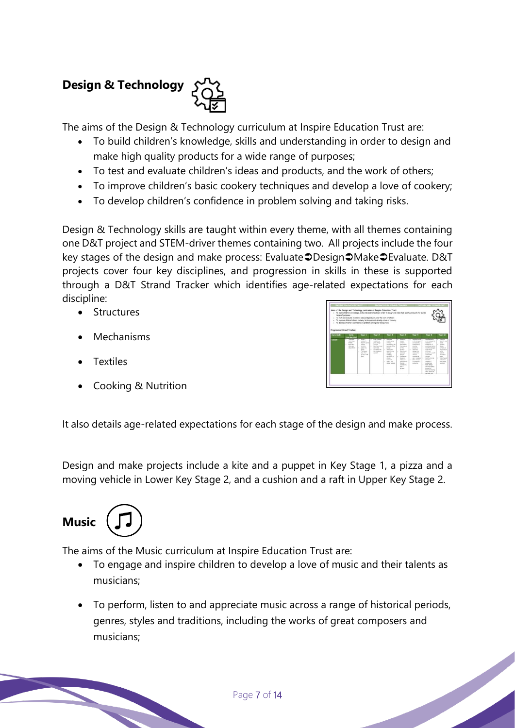# **Design & Technology**

The aims of the Design & Technology curriculum at Inspire Education Trust are:

- To build children's knowledge, skills and understanding in order to design and make high quality products for a wide range of purposes;
- To test and evaluate children's ideas and products, and the work of others;
- To improve children's basic cookery techniques and develop a love of cookery;
- To develop children's confidence in problem solving and taking risks.

Design & Technology skills are taught within every theme, with all themes containing one D&T project and STEM-driver themes containing two. All projects include the four key stages of the design and make process: Evaluate DDesign DMake DEvaluate. D&T projects cover four key disciplines, and progression in skills in these is supported through a D&T Strand Tracker which identifies age-related expectations for each discipline:

- Structures
- **Mechanisms**
- **Textiles**
- Cooking & Nutrition

It also details age-related expectations for each stage of the design and make process.

Design and make projects include a kite and a puppet in Key Stage 1, a pizza and a moving vehicle in Lower Key Stage 2, and a cushion and a raft in Upper Key Stage 2.



The aims of the Music curriculum at Inspire Education Trust are:

- To engage and inspire children to develop a love of music and their talents as musicians;
- To perform, listen to and appreciate music across a range of historical periods, genres, styles and traditions, including the works of great composers and musicians;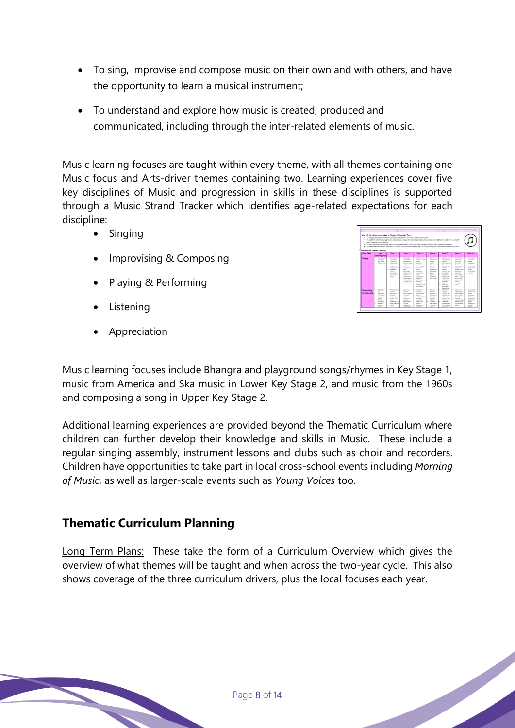- To sing, improvise and compose music on their own and with others, and have the opportunity to learn a musical instrument;
- To understand and explore how music is created, produced and communicated, including through the inter-related elements of music.

Music learning focuses are taught within every theme, with all themes containing one Music focus and Arts-driver themes containing two. Learning experiences cover five key disciplines of Music and progression in skills in these disciplines is supported through a Music Strand Tracker which identifies age-related expectations for each discipline:

- Singing
- Improvising & Composing
- Playing & Performing
- **Listening**
- Appreciation



Music learning focuses include Bhangra and playground songs/rhymes in Key Stage 1, music from America and Ska music in Lower Key Stage 2, and music from the 1960s and composing a song in Upper Key Stage 2.

Additional learning experiences are provided beyond the Thematic Curriculum where children can further develop their knowledge and skills in Music. These include a regular singing assembly, instrument lessons and clubs such as choir and recorders. Children have opportunities to take part in local cross-school events including *Morning of Music*, as well as larger-scale events such as *Young Voices* too.

### **Thematic Curriculum Planning**

Long Term Plans: These take the form of a Curriculum Overview which gives the overview of what themes will be taught and when across the two-year cycle. This also shows coverage of the three curriculum drivers, plus the local focuses each year.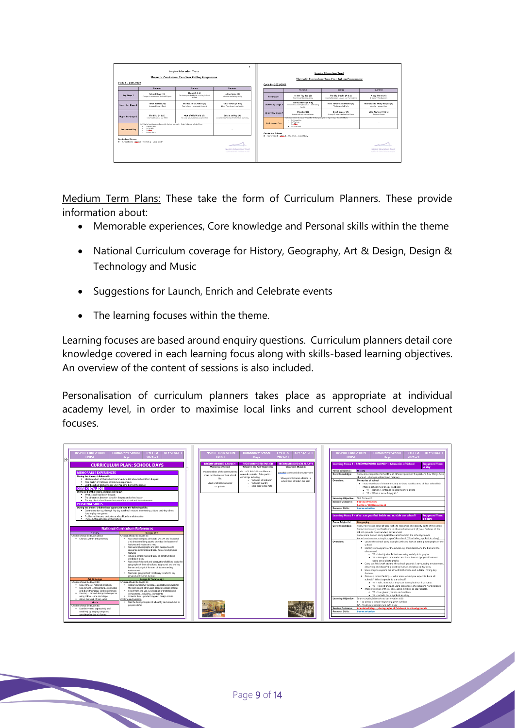| Cycle A - 2021/2022      | <b>Inspire Education Trust</b><br><b>Inspire Education Trust</b><br>Thematic Curriculum: Two-Year Rolling Programme<br>Thematic Curriculum: Two-Year Rolling Programme<br>Cycle B - 2022/2023 |                                                                              |                                                                            |                          |  |                                                                                                                                                                      |                                                                       |                                                                            |  |
|--------------------------|-----------------------------------------------------------------------------------------------------------------------------------------------------------------------------------------------|------------------------------------------------------------------------------|----------------------------------------------------------------------------|--------------------------|--|----------------------------------------------------------------------------------------------------------------------------------------------------------------------|-----------------------------------------------------------------------|----------------------------------------------------------------------------|--|
|                          | <b>Autumn</b>                                                                                                                                                                                 | Spring                                                                       | Summer.                                                                    |                          |  | <b>Autumn</b>                                                                                                                                                        | Spring                                                                | <b>Summer</b>                                                              |  |
| <b>Key Stage 1</b>       | School Days (H)<br>Changes in schools over the last 100 years.                                                                                                                                | Flight (S & L)<br>The development of flight, including Sir Frank<br>Write in | Indian Spice (A)<br>India as a contrasting locality                        | <b>Key Stage 1</b>       |  | In the Toy Box (5)<br>Toys through the generations                                                                                                                   | The Big Smoke (A & L)<br>Countity/Nuneston, London and The Court Fire | Aboy There! (H)<br>Krates and Sea Explorers                                |  |
| Lower Key Stage 2        | Tomb Raiders (H)<br>A study of Ancient Squak                                                                                                                                                  | The World's Kitchen (S)<br>Food outsms from around the world                 | Tuder Times (A & L)<br>Life in Tedar times in parlocality                  | Lower Key Stage 2        |  | On the Move (5 & L)<br>Transport in Coversity/Nurwerken + Contracting<br><b>Locality</b>                                                                             | Here come the Romans! (A)<br>The finances in Britain                  | Many Lands, Many People (H)<br>America - now and then                      |  |
| <b>Upper Key Stage 2</b> | The Blitz (H & L)                                                                                                                                                                             | Out of this World (S)                                                        | <b>Britain at Play (A)</b>                                                 | <b>Upper Key Stage 2</b> |  | Disaster! (S)<br>Natural and man made clearbox.                                                                                                                      | Greek Lensey (A)<br>A study of readers and andere Greece              | Wild Waters (H & L)<br><b>Buen and Coach</b>                               |  |
|                          | Country Newston and WAS<br>Individual schemik to desire focuses for the two year cycle - 2 sites in Cycle A selected Form<br>· Linkmarking<br>$-1$ + The Arts                                 | The Solar system and space exploration                                       | Leisure & estertainment in the 1968s and today                             | <b>Enrichment Day</b>    |  | Individual schools to decide focuses for the two year cycle - 2 sign: in Cycle & selected from<br>· Laboration<br>$-1$ + The Arts<br>$-11000$<br>$-1$ s local force. |                                                                       | $\sim$                                                                     |  |
| <b>Enrichment Day</b>    | $-11000$<br>. I clock food.                                                                                                                                                                   |                                                                              | $\sim$                                                                     | Curriculum Drivers:      |  | H - Humanities S - 422x A - The Arts L - Local Study                                                                                                                 |                                                                       |                                                                            |  |
| Curriculum Drivers:      | H - Humanities S - Glick A - The Arts L - Local Study                                                                                                                                         |                                                                              | $\sim$                                                                     |                          |  |                                                                                                                                                                      |                                                                       |                                                                            |  |
|                          |                                                                                                                                                                                               |                                                                              | <b>Inspire Education Trust</b><br>Toyother up artists industrially up more |                          |  |                                                                                                                                                                      |                                                                       | <b>Inspire Education Trust</b><br>Toyother up artisten industrials on more |  |
|                          |                                                                                                                                                                                               |                                                                              |                                                                            |                          |  |                                                                                                                                                                      |                                                                       |                                                                            |  |

Medium Term Plans: These take the form of Curriculum Planners. These provide information about:

- Memorable experiences, Core knowledge and Personal skills within the theme
- National Curriculum coverage for History, Geography, Art & Design, Design & Technology and Music
- Suggestions for Launch, Enrich and Celebrate events
- The learning focuses within the theme.

Learning focuses are based around enquiry questions. Curriculum planners detail core knowledge covered in each learning focus along with skills-based learning objectives. An overview of the content of sessions is also included.

Personalisation of curriculum planners takes place as appropriate at individual academy level, in order to maximise local links and current school development focuses.

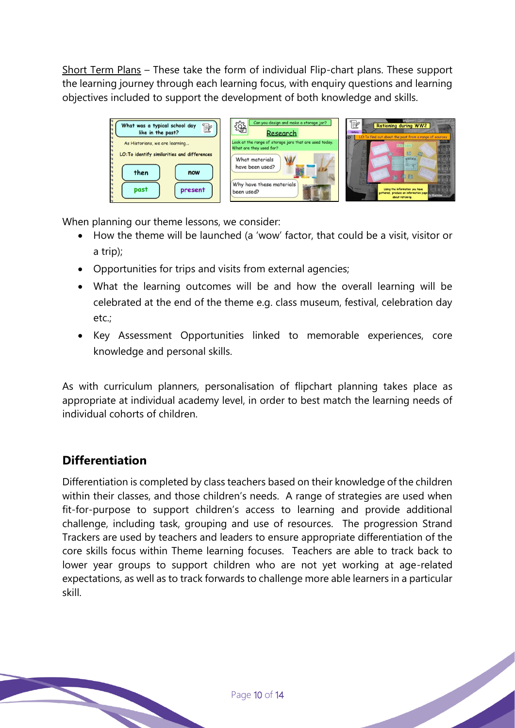Short Term Plans – These take the form of individual Flip-chart plans. These support the learning journey through each learning focus, with enquiry questions and learning objectives included to support the development of both knowledge and skills.

| E<br>What was a typical school day<br>like in the past?                        | Can you design and make a storage jar?<br>镕<br>Research                           | 122<br><b>Rationing during WW2</b><br>LO: To find out about the past from a range of sources<br><b>ID</b>                                             |
|--------------------------------------------------------------------------------|-----------------------------------------------------------------------------------|-------------------------------------------------------------------------------------------------------------------------------------------------------|
| As Historians, we are learning                                                 | Look at the range of storage jars that are used today.<br>What are they used for? | <b>RASTANI</b>                                                                                                                                        |
| LO: To identify similarities and differences<br>then<br>now<br>past<br>present | What materials<br>W<br>have been used?<br>Why have these materials<br>been used?  | <b>NORTHER</b><br>Williams<br>maximized by<br>臨<br>微琴部<br>Using the information you have<br>gathered, produce an information page<br>about rationing. |

When planning our theme lessons, we consider:

- How the theme will be launched (a 'wow' factor, that could be a visit, visitor or a trip);
- Opportunities for trips and visits from external agencies;
- What the learning outcomes will be and how the overall learning will be celebrated at the end of the theme e.g. class museum, festival, celebration day etc.;
- Key Assessment Opportunities linked to memorable experiences, core knowledge and personal skills.

As with curriculum planners, personalisation of flipchart planning takes place as appropriate at individual academy level, in order to best match the learning needs of individual cohorts of children.

### **Differentiation**

Differentiation is completed by class teachers based on their knowledge of the children within their classes, and those children's needs. A range of strategies are used when fit-for-purpose to support children's access to learning and provide additional challenge, including task, grouping and use of resources. The progression Strand Trackers are used by teachers and leaders to ensure appropriate differentiation of the core skills focus within Theme learning focuses. Teachers are able to track back to lower year groups to support children who are not yet working at age-related expectations, as well as to track forwards to challenge more able learners in a particular skill.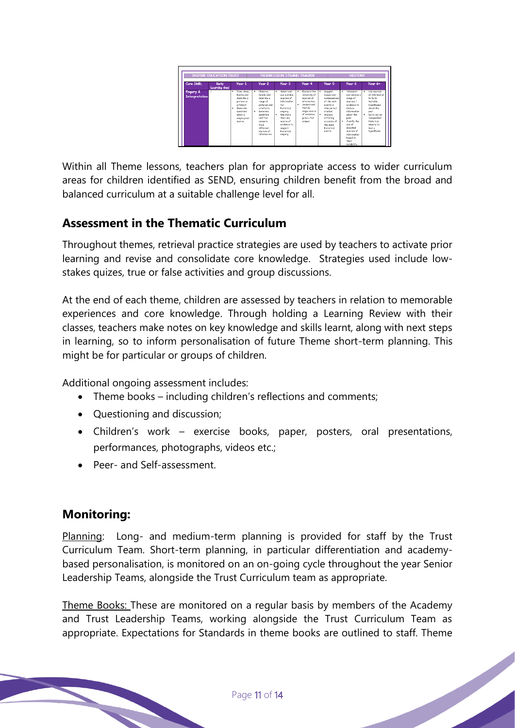|                             | <b>INSPIRE EDUCATION TRUST</b> |                                                                                                                                              |                                                                                                                                                                                                  | PROGRESSION STRAND TRACKER                                                                                                                                                                                   |                                                                                                                                                                                |                                                                                                                                                                             | <b>HISTORY</b>                                                                                                                                                                                                                    |                                                                                                                                                                                        |
|-----------------------------|--------------------------------|----------------------------------------------------------------------------------------------------------------------------------------------|--------------------------------------------------------------------------------------------------------------------------------------------------------------------------------------------------|--------------------------------------------------------------------------------------------------------------------------------------------------------------------------------------------------------------|--------------------------------------------------------------------------------------------------------------------------------------------------------------------------------|-----------------------------------------------------------------------------------------------------------------------------------------------------------------------------|-----------------------------------------------------------------------------------------------------------------------------------------------------------------------------------------------------------------------------------|----------------------------------------------------------------------------------------------------------------------------------------------------------------------------------------|
| Core Skill:                 | Early<br>Learning Goal         | Year 1                                                                                                                                       | Year 2                                                                                                                                                                                           | Year 3                                                                                                                                                                                                       | Year 4                                                                                                                                                                         | Year 5                                                                                                                                                                      | Year 6                                                                                                                                                                                                                            | Year 6+                                                                                                                                                                                |
| Enquiry &<br>Interpretation | $\sim$                         | View, draw.<br>٠<br>headle and<br>decreibe a<br>picture or<br>ortofart<br>Generate<br>questions<br>obact a<br>single given<br><b>Chiefro</b> | Observe.<br>٠<br>handle and<br>decreibe a<br>range of<br>pictures and<br>ortaforte<br>Generate<br>٠<br>questions<br>and find<br>nnouves.<br>$f_{rnm}$<br>different<br>snurres of<br>information. | Select and<br>$\bullet$<br>use suitable<br>sources of<br>information<br>600<br>historical<br>enquiry.<br>Her more<br>$\bullet$<br>then one.<br>source of<br>evidence to<br>support<br>historical<br>enquiry. | Funlante the<br>٠<br>reliability of<br>sources of<br>information.<br><b>Understand</b><br>$\blacksquare$<br>that no<br>single source<br>of evidence<br>gives a full<br>oncurer | Suggest<br>٠<br>couses and<br>consequences<br>of the main<br>awate in<br>time period<br>chulad<br>· Analyse<br>differing<br>orresett of<br>the come<br>kicterizel<br>events | · Interpret<br>and analyse a<br>nange of<br>sources /<br>evidence to<br>deduce<br>information.<br>chost the<br>post.<br>Justify the<br>٠<br>neo af<br>calantad<br>snurros af<br>information.<br>hesad on<br>their<br>reliability. | Use sources<br>٠<br>of information<br>to form<br>testable<br>hypotheses<br>obout the<br>post.<br>Corry out on<br>٠<br>independent<br>historical<br>enquiry to<br>test a<br>hypothesis. |

Within all Theme lessons, teachers plan for appropriate access to wider curriculum areas for children identified as SEND, ensuring children benefit from the broad and balanced curriculum at a suitable challenge level for all.

### **Assessment in the Thematic Curriculum**

Throughout themes, retrieval practice strategies are used by teachers to activate prior learning and revise and consolidate core knowledge. Strategies used include lowstakes quizes, true or false activities and group discussions.

At the end of each theme, children are assessed by teachers in relation to memorable experiences and core knowledge. Through holding a Learning Review with their classes, teachers make notes on key knowledge and skills learnt, along with next steps in learning, so to inform personalisation of future Theme short-term planning. This might be for particular or groups of children.

Additional ongoing assessment includes:

- Theme books including children's reflections and comments;
- Questioning and discussion;
- Children's work exercise books, paper, posters, oral presentations, performances, photographs, videos etc.;
- Peer- and Self-assessment.

### **Monitoring:**

Planning: Long- and medium-term planning is provided for staff by the Trust Curriculum Team. Short-term planning, in particular differentiation and academybased personalisation, is monitored on an on-going cycle throughout the year Senior Leadership Teams, alongside the Trust Curriculum team as appropriate.

Theme Books: These are monitored on a regular basis by members of the Academy and Trust Leadership Teams, working alongside the Trust Curriculum Team as appropriate. Expectations for Standards in theme books are outlined to staff. Theme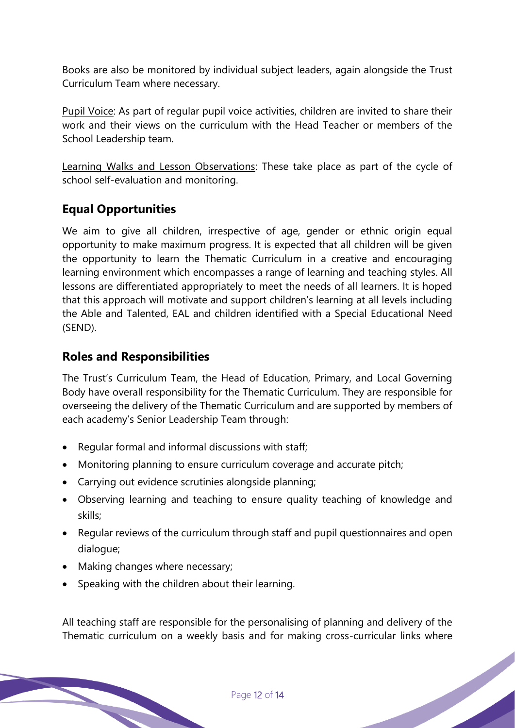Books are also be monitored by individual subject leaders, again alongside the Trust Curriculum Team where necessary.

Pupil Voice: As part of regular pupil voice activities, children are invited to share their work and their views on the curriculum with the Head Teacher or members of the School Leadership team.

Learning Walks and Lesson Observations: These take place as part of the cycle of school self-evaluation and monitoring.

### **Equal Opportunities**

We aim to give all children, irrespective of age, gender or ethnic origin equal opportunity to make maximum progress. It is expected that all children will be given the opportunity to learn the Thematic Curriculum in a creative and encouraging learning environment which encompasses a range of learning and teaching styles. All lessons are differentiated appropriately to meet the needs of all learners. It is hoped that this approach will motivate and support children's learning at all levels including the Able and Talented, EAL and children identified with a Special Educational Need (SEND).

### **Roles and Responsibilities**

The Trust's Curriculum Team, the Head of Education, Primary, and Local Governing Body have overall responsibility for the Thematic Curriculum. They are responsible for overseeing the delivery of the Thematic Curriculum and are supported by members of each academy's Senior Leadership Team through:

- Regular formal and informal discussions with staff;
- Monitoring planning to ensure curriculum coverage and accurate pitch;
- Carrying out evidence scrutinies alongside planning;
- Observing learning and teaching to ensure quality teaching of knowledge and skills;
- Regular reviews of the curriculum through staff and pupil questionnaires and open dialogue;
- Making changes where necessary;
- Speaking with the children about their learning.

All teaching staff are responsible for the personalising of planning and delivery of the Thematic curriculum on a weekly basis and for making cross-curricular links where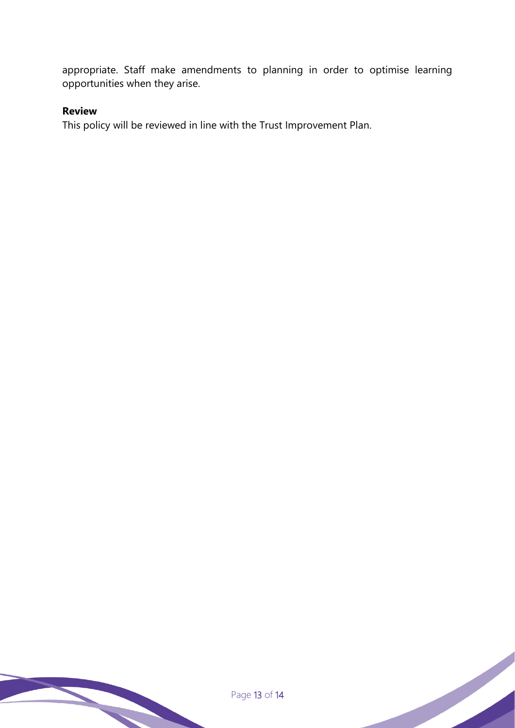appropriate. Staff make amendments to planning in order to optimise learning opportunities when they arise.

#### **Review**

This policy will be reviewed in line with the Trust Improvement Plan.